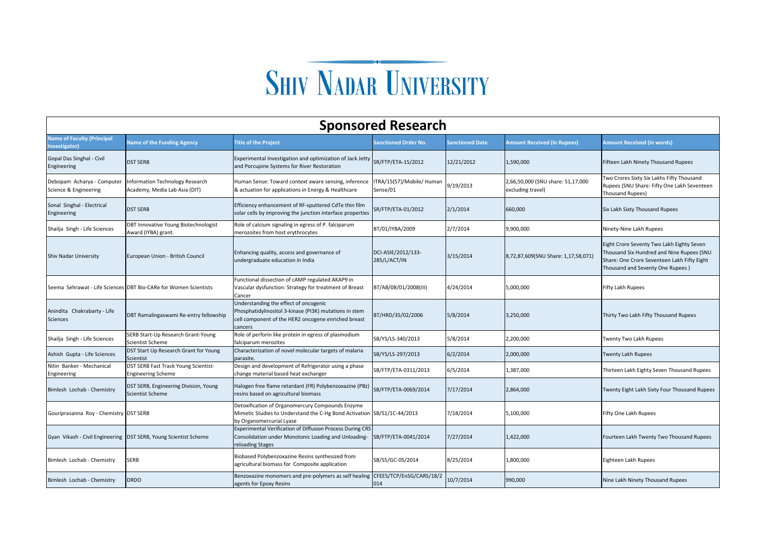## **SHIV NADAR UNIVERSITY**

| <b>Sponsored Research</b>                           |                                                                   |                                                                                                                                                                   |                                       |                        |                                                        |                                                                                                                                                                           |  |
|-----------------------------------------------------|-------------------------------------------------------------------|-------------------------------------------------------------------------------------------------------------------------------------------------------------------|---------------------------------------|------------------------|--------------------------------------------------------|---------------------------------------------------------------------------------------------------------------------------------------------------------------------------|--|
| <b>Name of Faculty (Principal</b><br>nvestigator)   | <b>Name of the Funding Agency</b>                                 | <b>Title of the Project</b>                                                                                                                                       | <b>Sanctioned Order No.</b>           | <b>Sanctioned Date</b> | <b>Amount Received (In Rupees)</b>                     | <b>Amount Received (in words)</b>                                                                                                                                         |  |
| Gopal Das Singhal - Civil<br>Engineering            | <b>DST SERB</b>                                                   | Experimental Investigation and optimization of Jack Jetty<br>and Porcupine Systems for River Restoration                                                          | SR/FTP/ETA-15/2012                    | 12/21/2012             | 1,590,000                                              | Fifteen Lakh Ninety Thousand Rupees                                                                                                                                       |  |
| Debopam Acharya - Computer<br>Science & Engineering | Information Technology Research<br>Academy, Media Lab Asia (DIT)  | Human Sense: Toward context aware sensing, inference<br>& actuation for applications in Energy & Healthcare                                                       | ITRA/15(57)/Mobile/ Human<br>Sense/01 | 9/19/2013              | 2,66,50,000 (SNU share: 51,17,000<br>excluding travel) | Two Crores Sixty Six Lakhs Fifty Thousand<br>Rupees (SNU Share: Fifty One Lakh Seventeen<br><b>Thousand Rupees)</b>                                                       |  |
| Sonal Singhal - Electrical<br>Engineering           | <b>DST SERB</b>                                                   | Efficiency enhancement of RF-sputtered CdTe thin film<br>solar cells by improving the junction interface properties                                               | SR/FTP/ETA-01/2012                    | 2/1/2014               | 660,000                                                | Six Lakh Sixty Thousand Rupees                                                                                                                                            |  |
| Shailja Singh - Life Sciences                       | DBT Innovative Young Biotechnologist<br>Award (IYBA) grant.       | Role of calcium signaling in egress of P. falciparum<br>merozoites from host erythrocytes                                                                         | BT/01/IYBA/2009                       | 2/7/2014               | 9,900,000                                              | Ninety-Nine Lakh Rupees                                                                                                                                                   |  |
| <b>Shiv Nadar University</b>                        | European Union - British Council                                  | Enhancing quality, access and governance of<br>undergraduate education in India                                                                                   | DCI-ASIE/2012/133-<br>285/L/ACT/IN    | 3/15/2014              | 8,72,87,609(SNU Share: 1,17,58,071)                    | Eight Crore Seventy Two Lakh Eighty Seven<br>Thousand Six Hundred and Nine Rupees (SNU<br>Share: One Crore Seventeen Lakh Fifty Eight<br>Thousand and Seventy One Rupees) |  |
|                                                     | Seema Sehrawat - Life Sciences DBT Bio-CARe for Women Scientists  | Functional dissection of cAMP regulated AKAP9 in<br>Vascular dysfunction: Strategy for treatment of Breast<br>Cancer                                              | BT/AB/08/01/2008(III)                 | 4/24/2014              | 5,000,000                                              | Fifty Lakh Rupees                                                                                                                                                         |  |
| Anindita Chakrabarty - Life<br><b>Sciences</b>      | DBT Ramalingaswami Re-entry fellowship                            | Understanding the effect of oncogenic<br>Phosphatidylinositol 3-kinase (PI3K) mutations in stem<br>cell component of the HER2 oncogene enriched breast<br>cancers | BT/HRD/35/02/2006                     | 5/8/2014               | 3,250,000                                              | Thirty Two Lakh Fifty Thousand Rupees                                                                                                                                     |  |
| Shailja Singh - Life Sciences                       | SERB Start-Up Research Grant-Young<br>Scientist Scheme            | Role of perforin like protein in egress of plasmodium<br>falciparum merozites                                                                                     | SB/YS/LS-340/2013                     | 5/8/2014               | 2,200,000                                              | Twenty Two Lakh Rupees                                                                                                                                                    |  |
| Ashish Gupta - Life Sciences                        | DST Start Up Research Grant for Young<br>Scientist                | Characterization of novel molecular targets of malaria<br>parasite.                                                                                               | SB/YS/LS-297/2013                     | 6/2/2014               | 2,000,000                                              | <b>Twenty Lakh Rupees</b>                                                                                                                                                 |  |
| Nitin Banker - Mechanical<br>Engineering            | DST SERB Fast Track Young Scientist-<br><b>Engineering Scheme</b> | Design and development of Refrigerator using a phase<br>change material based heat exchanger                                                                      | SB/FTP/ETA-0311/2013                  | 6/5/2014               | 1,387,000                                              | Thirteen Lakh Eighty Seven Thousand Rupees                                                                                                                                |  |
| Bimlesh Lochab - Chemistry                          | DST SERB, Engineering Division, Young<br><b>Scientist Scheme</b>  | Halogen free flame retardant (FR) Polybenzoxazine (PBz)<br>resins based on agricultural biomass                                                                   | SB/FTP/ETA-0069/2014                  | 7/17/2014              | 2,864,000                                              | Twenty Eight Lakh Sixty Four Thousand Rupees                                                                                                                              |  |
| Gouriprasanna Roy - Chemistry DST SERB              |                                                                   | Detoxification of Organomercury Compounds Enzyme<br>Mimetic Studies to Understand the C-Hg Bond Activation SB/S1/1C-44/2013<br>by Organomercurial Lyase           |                                       | 7/18/2014              | 5,100,000                                              | Fifty One Lakh Rupees                                                                                                                                                     |  |
| Gyan Vikash - Civil Engineering                     | DST SERB, Young Scientist Scheme                                  | Experimental Verification of Diffusion Process During CRS<br>Consolidation under Monotonic Loading and Unloading-<br>reloading Stages                             | SB/FTP/ETA-0041/2014                  | 7/27/2014              | 1,422,000                                              | Fourteen Lakh Twenty Two Thousand Rupees                                                                                                                                  |  |
| Bimlesh Lochab - Chemistry                          | <b>SERB</b>                                                       | Biobased Polybenzoxazine Resins synthesized from<br>agricultural biomass for Composite application                                                                | SB/S5/GC-05/2014                      | 8/25/2014              | 1,800,000                                              | Eighteen Lakh Rupees                                                                                                                                                      |  |
| Bimlesh Lochab - Chemistry                          | <b>DRDO</b>                                                       | Benzoxazine monomers and pre-polymers as self healing<br>agents for Epoxy Resins                                                                                  | CFEES/TCP/EnSG/CARS/18/2<br>014       | 10/7/2014              | 990,000                                                | Nine Lakh Ninety Thousand Rupees                                                                                                                                          |  |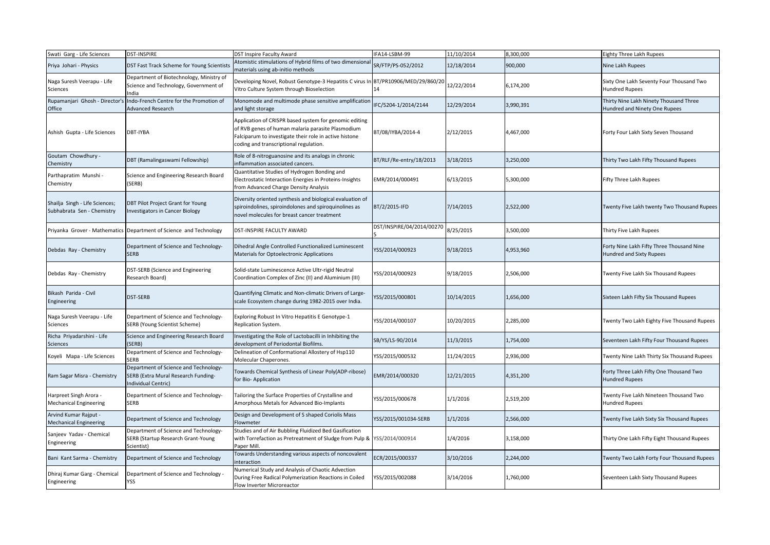| Swati Garg - Life Sciences                                   | <b>DST-INSPIRE</b>                                                                                  | DST Inspire Faculty Award                                                                                                                                                                                       | IFA14-LSBM-99                  | 11/10/2014 | 8,300,000 | <b>Eighty Three Lakh Rupees</b>                                         |
|--------------------------------------------------------------|-----------------------------------------------------------------------------------------------------|-----------------------------------------------------------------------------------------------------------------------------------------------------------------------------------------------------------------|--------------------------------|------------|-----------|-------------------------------------------------------------------------|
| Priya Johari - Physics                                       | DST Fast Track Scheme for Young Scientist:                                                          | Atomistic stimulations of Hybrid films of two dimensional<br>materials using ab-initio methods                                                                                                                  | SR/FTP/PS-052/2012             | 12/18/2014 | 900,000   | Nine Lakh Rupees                                                        |
| Naga Suresh Veerapu - Life<br>Sciences                       | Department of Biotechnology, Ministry of<br>Science and Technology, Government of<br>India          | Developing Novel, Robust Genotype-3 Hepatitis C virus In<br>Vitro Culture System through Bioselection                                                                                                           | BT/PR10906/MED/29/860/20<br>14 | 12/22/2014 | 6,174,200 | Sixty One Lakh Seventy Four Thousand Two<br><b>Hundred Rupees</b>       |
| Rupamanjari Ghosh - Director's<br>Office                     | Indo-French Centre for the Promotion of<br>Advanced Research                                        | Monomode and multimode phase sensitive amplification<br>and light storage                                                                                                                                       | IFC/5204-1/2014/2144           | 12/29/2014 | 3,990,391 | Thirty Nine Lakh Ninety Thousand Three<br>Hundred and Ninety One Rupees |
| Ashish Gupta - Life Sciences                                 | DBT-IYBA                                                                                            | Application of CRISPR based system for genomic editing<br>of RVB genes of human malaria parasite Plasmodium<br>Falciparum to investigate their role in active histone<br>coding and transcriptional regulation. | BT/08/IYBA/2014-4              | 2/12/2015  | 4,467,000 | Forty Four Lakh Sixty Seven Thousand                                    |
| Goutam Chowdhury -<br>Chemistry                              | DBT (Ramalingaswami Fellowship)                                                                     | Role of 8-nitroguanosine and its analogs in chronic<br>inflammation associated cancers.                                                                                                                         | BT/RLF/Re-entry/18/2013        | 3/18/2015  | 3,250,000 | Thirty Two Lakh Fifty Thousand Rupees                                   |
| Parthapratim Munshi -<br>Chemistry                           | Science and Engineering Research Board<br>(SERB)                                                    | Quantitative Studies of Hydrogen Bonding and<br>Electrostatic Interaction Energies in Proteins-Insights<br>from Advanced Charge Density Analysis                                                                | EMR/2014/000491                | 6/13/2015  | 5,300,000 | Fifty Three Lakh Rupees                                                 |
| Shailja Singh - Life Sciences;<br>Subhabrata Sen - Chemistry | DBT Pilot Project Grant for Young<br><b>Investigators in Cancer Biology</b>                         | Diversity oriented synthesis and biological evaluation of<br>spiroindolines, spiroindolones and spiroquinolines as<br>novel molecules for breast cancer treatment                                               | BT/2/2015-IFD                  | 7/14/2015  | 2,522,000 | Twenty Five Lakh twenty Two Thousand Rupees                             |
| Priyanka Grover - Mathematics                                | Department of Science and Technology                                                                | DST-INSPIRE FACULTY AWARD                                                                                                                                                                                       | DST/INSPIRE/04/2014/00270      | 8/25/2015  | 3,500,000 | Thirty Five Lakh Rupees                                                 |
| Debdas Ray - Chemistry                                       | Department of Science and Technology-<br><b>SERB</b>                                                | Dihedral Angle Controlled Functionalized Luminescent<br>Materials for Optoelectronic Applications                                                                                                               | YSS/2014/000923                | 9/18/2015  | 4,953,960 | Forty Nine Lakh Fifty Three Thousand Nine<br>Hundred and Sixty Rupees   |
| Debdas Ray - Chemistry                                       | DST-SERB (Science and Engineering<br>Research Board)                                                | Solid-state Luminescence Active Ultr-rigid Neutral<br>Coordination Complex of Zinc (II) and Aluminium (III)                                                                                                     | YSS/2014/000923                | 9/18/2015  | 2,506,000 | Twenty Five Lakh Six Thousand Rupees                                    |
| Bikash Parida - Civil<br>Engineering                         | DST-SERB                                                                                            | Quantifying Climatic and Non-climatic Drivers of Large-<br>scale Ecosystem change during 1982-2015 over India.                                                                                                  | YSS/2015/000801                | 10/14/2015 | 1,656,000 | Sixteen Lakh Fifty Six Thousand Rupees                                  |
| Naga Suresh Veerapu - Life<br>Sciences                       | Department of Science and Technology-<br>SERB (Young Scientist Scheme)                              | Exploring Robust In Vitro Hepatitis E Genotype-1<br>Replication System.                                                                                                                                         | YSS/2014/000107                | 10/20/2015 | 2,285,000 | Twenty Two Lakh Eighty Five Thousand Rupees                             |
| Richa Priyadarshini - Life<br>Sciences                       | Science and Engineering Research Board<br>SERB)                                                     | Investigating the Role of Lactobacilli in Inhibiting the<br>development of Periodontal Biofilms.                                                                                                                | SB/YS/LS-90/2014               | 11/3/2015  | 1,754,000 | Seventeen Lakh Fifty Four Thousand Rupees                               |
| Koyeli Mapa - Life Sciences                                  | Department of Science and Technology-<br>SERB                                                       | Delineation of Conformational Allostery of Hsp110<br>Molecular Chaperones.                                                                                                                                      | YSS/2015/000532                | 11/24/2015 | 2,936,000 | Twenty Nine Lakh Thirty Six Thousand Rupees                             |
| Ram Sagar Misra - Chemistry                                  | Department of Science and Technology-<br>SERB (Extra Mural Research Funding-<br>Individual Centric) | Towards Chemical Synthesis of Linear Poly(ADP-ribose)<br>for Bio-Application                                                                                                                                    | EMR/2014/000320                | 12/21/2015 | 4,351,200 | Forty Three Lakh Fifty One Thousand Two<br><b>Hundred Rupees</b>        |
| - Harpreet Singh Arora<br>Mechanical Engineering             | Department of Science and Technology-<br><b>SERB</b>                                                | Tailoring the Surface Properties of Crystalline and<br>Amorphous Metals for Advanced Bio-Implants                                                                                                               | YSS/2015/000678                | 1/1/2016   | 2,519,200 | Twenty Five Lakh Nineteen Thousand Two<br><b>Hundred Rupees</b>         |
| Arvind Kumar Rajput -<br>Mechanical Engineering              | Department of Science and Technology                                                                | Design and Development of S shaped Coriolis Mass<br>Flowmeter                                                                                                                                                   | YSS/2015/001034-SERB           | 1/1/2016   | 2,566,000 | Twenty Five Lakh Sixty Six Thousand Rupees                              |
| Sanjeev Yadav - Chemical<br>Engineering                      | Department of Science and Technology-<br>SERB (Startup Research Grant-Young<br>Scientist)           | Studies and of Air Bubbling Fluidized Bed Gasification<br>with Torrefaction as Pretreatment of Sludge from Pulp & YSS/2014/000914<br>Paper Mill.                                                                |                                | 1/4/2016   | 3,158,000 | Thirty One Lakh Fifty Eight Thousand Rupees                             |
| Bani Kant Sarma - Chemistry                                  | Department of Science and Technology                                                                | Towards Understanding various aspects of noncovalent<br>interaction                                                                                                                                             | ECR/2015/000337                | 3/10/2016  | 2,244,000 | Twenty Two Lakh Forty Four Thousand Rupees                              |
| Dhiraj Kumar Garg - Chemical<br>Engineering                  | Department of Science and Technology -<br>YSS                                                       | Numerical Study and Analysis of Chaotic Advection<br>During Free Radical Polymerization Reactions in Coiled<br>Flow Inverter Microreactor                                                                       | YSS/2015/002088                | 3/14/2016  | 1,760,000 | Seventeen Lakh Sixty Thousand Rupees                                    |